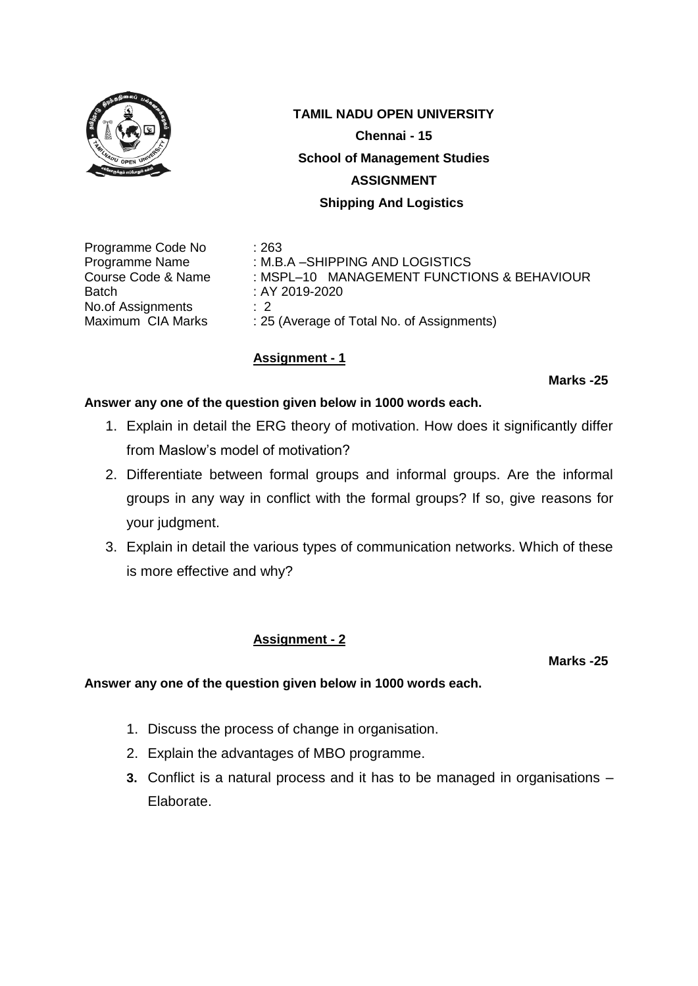

Programme Code No : 263 Batch : AY 2019-2020 No.of Assignments : 2<br>Maximum CIA Marks : 25

Programme Name : M.B.A –SHIPPING AND LOGISTICS Course Code & Name : MSPL-10 MANAGEMENT FUNCTIONS & BEHAVIOUR : 25 (Average of Total No. of Assignments)

# **Assignment - 1**

**Marks -25**

### **Answer any one of the question given below in 1000 words each.**

- 1. Explain in detail the ERG theory of motivation. How does it significantly differ from Maslow's model of motivation?
- 2. Differentiate between formal groups and informal groups. Are the informal groups in any way in conflict with the formal groups? If so, give reasons for your judgment.
- 3. Explain in detail the various types of communication networks. Which of these is more effective and why?

### **Assignment - 2**

**Marks -25**

- 1. Discuss the process of change in organisation.
- 2. Explain the advantages of MBO programme.
- **3.** Conflict is a natural process and it has to be managed in organisations Elaborate.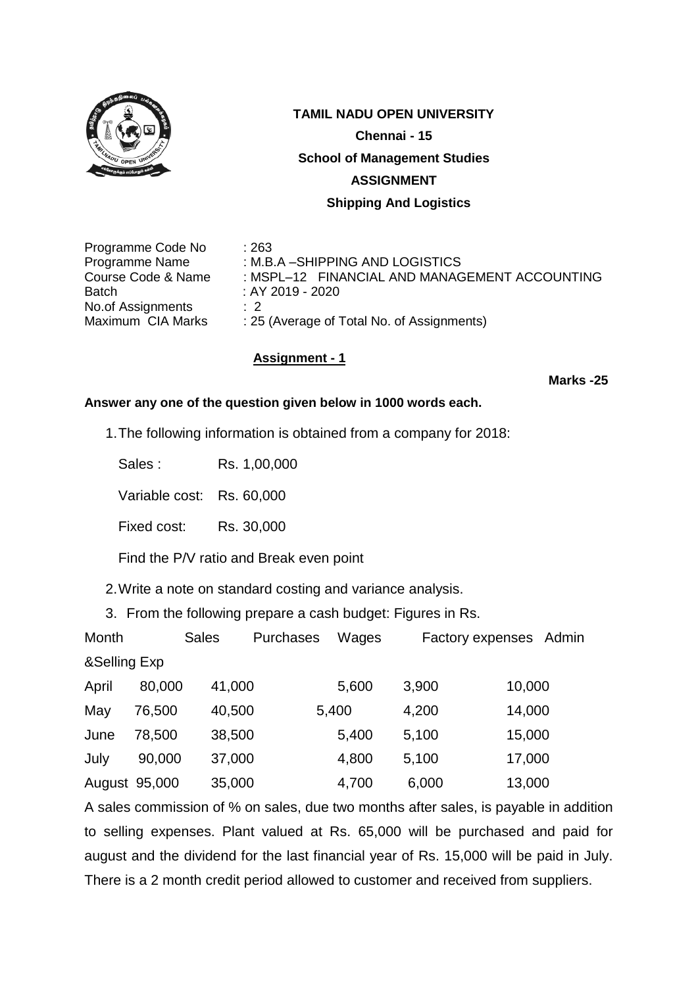

Programme Code No : 263 Programme Name : M.B.A – SHIPPING AND LOGISTICS Course Code & Name : MSPL–12 FINANCIAL AND MANAGEMENT ACCOUNTING Batch : AY 2019 - 2020 No.of Assignments : 2<br>Maximum CIA Marks : 25 : 25 (Average of Total No. of Assignments)

### **Assignment - 1**

**Marks -25**

### **Answer any one of the question given below in 1000 words each.**

1.The following information is obtained from a company for 2018:

Sales : Rs. 1,00,000

Variable cost: Rs. 60,000

Fixed cost: Rs. 30,000

Find the P/V ratio and Break even point

2.Write a note on standard costing and variance analysis.

3. From the following prepare a cash budget: Figures in Rs.

| Month         |        | <b>Sales</b> | <b>Purchases</b> | Wages |       | Factory expenses Admin |  |  |  |  |
|---------------|--------|--------------|------------------|-------|-------|------------------------|--|--|--|--|
| &Selling Exp  |        |              |                  |       |       |                        |  |  |  |  |
| April         | 80,000 | 41,000       |                  | 5,600 | 3,900 | 10,000                 |  |  |  |  |
| May           | 76,500 | 40,500       |                  | 5,400 | 4,200 | 14,000                 |  |  |  |  |
| June          | 78,500 | 38,500       |                  | 5,400 | 5,100 | 15,000                 |  |  |  |  |
| July          | 90,000 | 37,000       |                  | 4,800 | 5,100 | 17,000                 |  |  |  |  |
| August 95,000 |        | 35,000       |                  | 4,700 | 6,000 | 13,000                 |  |  |  |  |

A sales commission of % on sales, due two months after sales, is payable in addition to selling expenses. Plant valued at Rs. 65,000 will be purchased and paid for august and the dividend for the last financial year of Rs. 15,000 will be paid in July. There is a 2 month credit period allowed to customer and received from suppliers.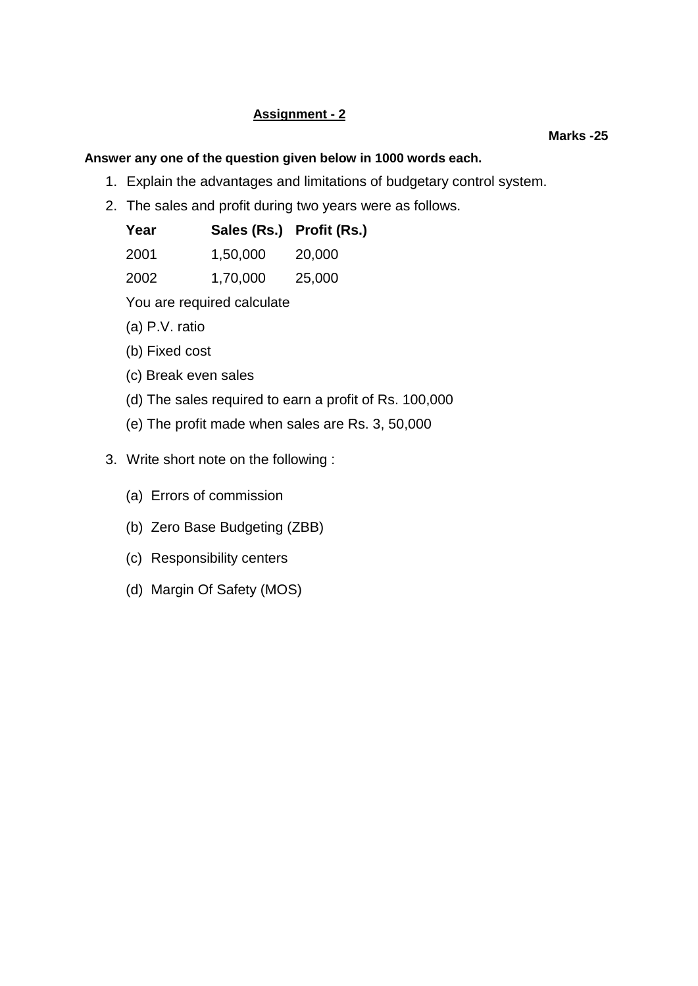# **Assignment - 2**

### **Marks -25**

### **Answer any one of the question given below in 1000 words each.**

- 1. Explain the advantages and limitations of budgetary control system.
- 2. The sales and profit during two years were as follows.

| Year |          | Sales (Rs.) Profit (Rs.) |  |  |
|------|----------|--------------------------|--|--|
| 2001 | 1.50.000 | 20,000                   |  |  |

| ---  | .,,                                    | $-0,000$                                        |  |  |
|------|----------------------------------------|-------------------------------------------------|--|--|
|      |                                        |                                                 |  |  |
| ---- | $\mathbf{1}$ $\mathbf{3}$ $\mathbf{5}$ | $\mathbf{A} = \mathbf{A} \mathbf{A} \mathbf{A}$ |  |  |

2002 1,70,000 25,000

You are required calculate

- (a) P.V. ratio
- (b) Fixed cost
- (c) Break even sales
- (d) The sales required to earn a profit of Rs. 100,000
- (e) The profit made when sales are Rs. 3, 50,000
- 3. Write short note on the following :
	- (a) Errors of commission
	- (b) Zero Base Budgeting (ZBB)
	- (c) Responsibility centers
	- (d) Margin Of Safety (MOS)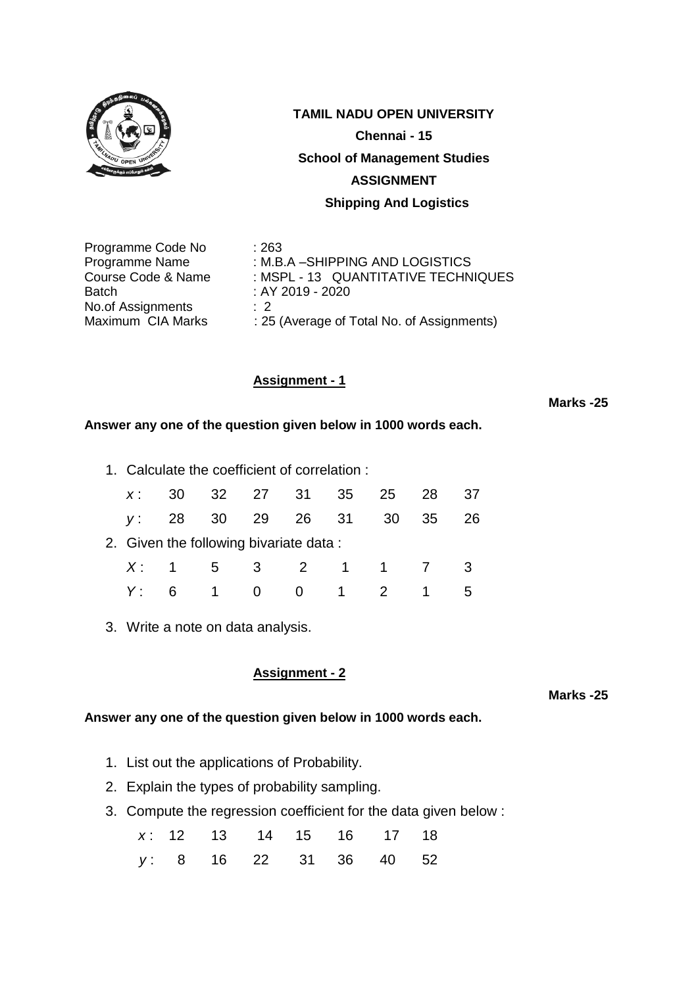

Programme Code No : 263 Programme Name : M.B.A -SHIPPING AND LOGISTICS Course Code & Name : MSPL - 13 QUANTITATIVE TECHNIQUES Batch : AY 2019 - 2020 No.of Assignments : 2<br>Maximum CIA Marks : 25 : 25 (Average of Total No. of Assignments)

# **Assignment - 1**

**Marks -25**

### **Answer any one of the question given below in 1000 words each.**

1. Calculate the coefficient of correlation :

| $X$ : |    |                         | 30 32 27 31 35 25 28                   |                     |                | -37 |
|-------|----|-------------------------|----------------------------------------|---------------------|----------------|-----|
|       |    |                         | y: 28 30 29 26 31 30                   |                     | 35             | 26  |
|       |    |                         | 2. Given the following bivariate data: |                     |                |     |
|       |    |                         | X: 1 5 3 2 1 1 7 3                     |                     |                |     |
|       | 6. | $\overline{\mathbf{1}}$ | $\overline{0}$                         | $0 \quad 1 \quad 2$ | $\overline{1}$ |     |

3. Write a note on data analysis.

### **Assignment - 2**

**Marks -25**

- 1. List out the applications of Probability.
- 2. Explain the types of probability sampling.
- 3. Compute the regression coefficient for the data given below :

|  |  | x: 12 13 14 15 16 17 18 |  |  |
|--|--|-------------------------|--|--|
|  |  | y: 8 16 22 31 36 40 52  |  |  |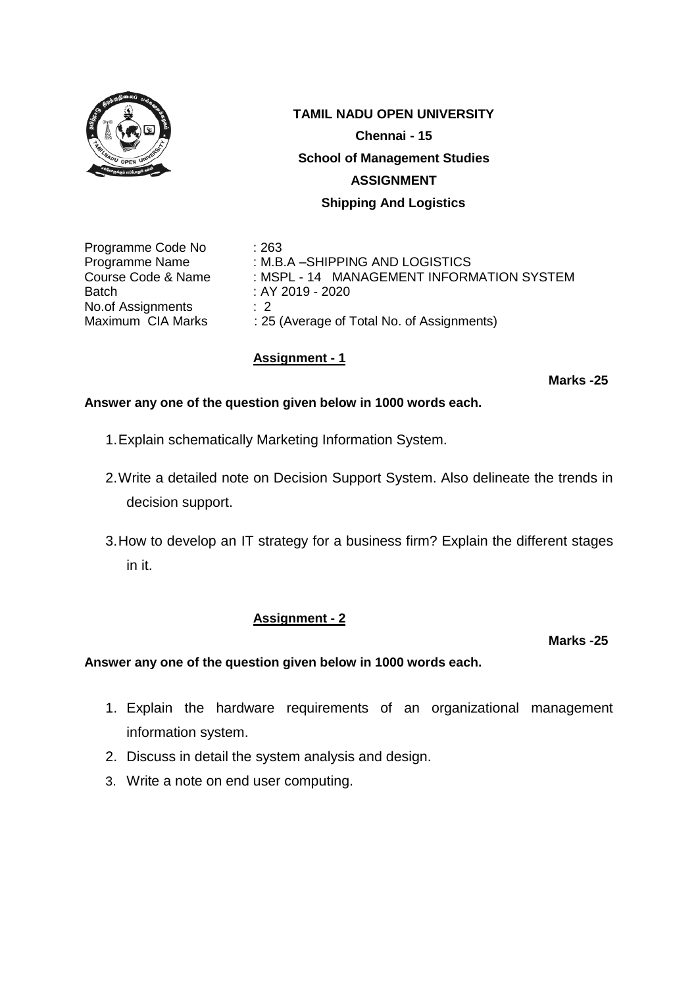

Programme Code No : 263 Batch : AY 2019 - 2020 No.of Assignments : 2<br>Maximum CIA Marks : 25

Programme Name : M.B.A –SHIPPING AND LOGISTICS Course Code & Name : MSPL - 14 MANAGEMENT INFORMATION SYSTEM : 25 (Average of Total No. of Assignments)

# **Assignment - 1**

**Marks -25**

### **Answer any one of the question given below in 1000 words each.**

- 1.Explain schematically Marketing Information System.
- 2.Write a detailed note on Decision Support System. Also delineate the trends in decision support.
- 3.How to develop an IT strategy for a business firm? Explain the different stages in it.

### **Assignment - 2**

**Marks -25**

- 1. Explain the hardware requirements of an organizational management information system.
- 2. Discuss in detail the system analysis and design.
- 3. Write a note on end user computing.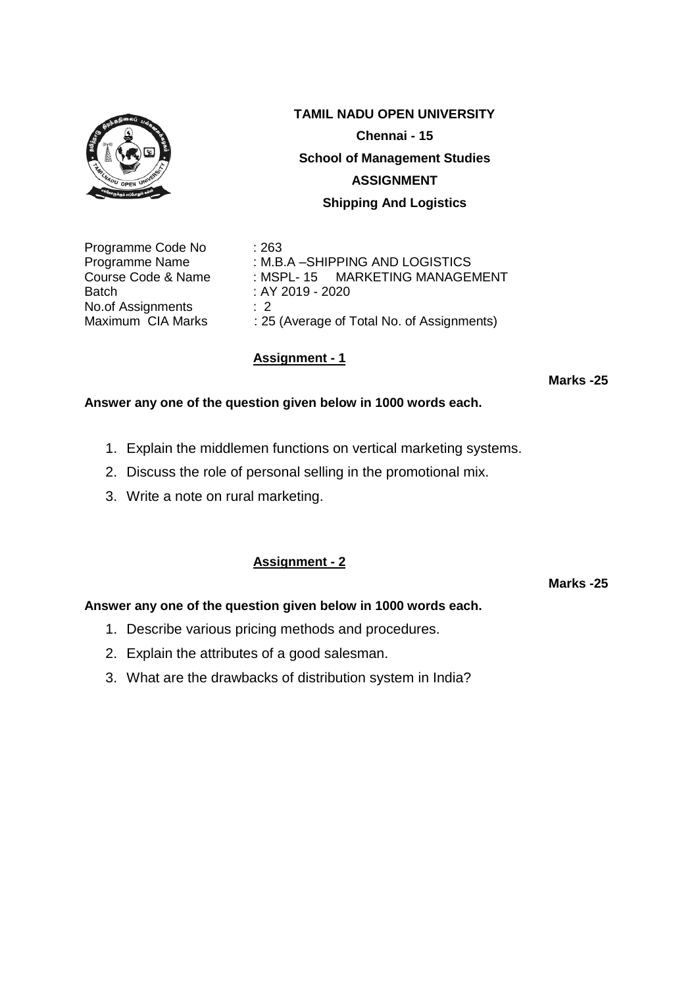

Programme Code No : 263 Batch : AY 2019 - 2020 No.of Assignments : 2<br>Maximum CIA Marks : 25

**TAMIL NADU OPEN UNIVERSITY Chennai - 15 School of Management Studies ASSIGNMENT Shipping And Logistics**

Programme Name : M.B.A -SHIPPING AND LOGISTICS Course Code & Name : MSPL- 15 MARKETING MANAGEMENT : 25 (Average of Total No. of Assignments)

# **Assignment - 1**

**Marks -25**

### **Answer any one of the question given below in 1000 words each.**

- 1. Explain the middlemen functions on vertical marketing systems.
- 2. Discuss the role of personal selling in the promotional mix.
- 3. Write a note on rural marketing.

# **Assignment - 2**

**Marks -25**

- 1. Describe various pricing methods and procedures.
- 2. Explain the attributes of a good salesman.
- 3. What are the drawbacks of distribution system in India?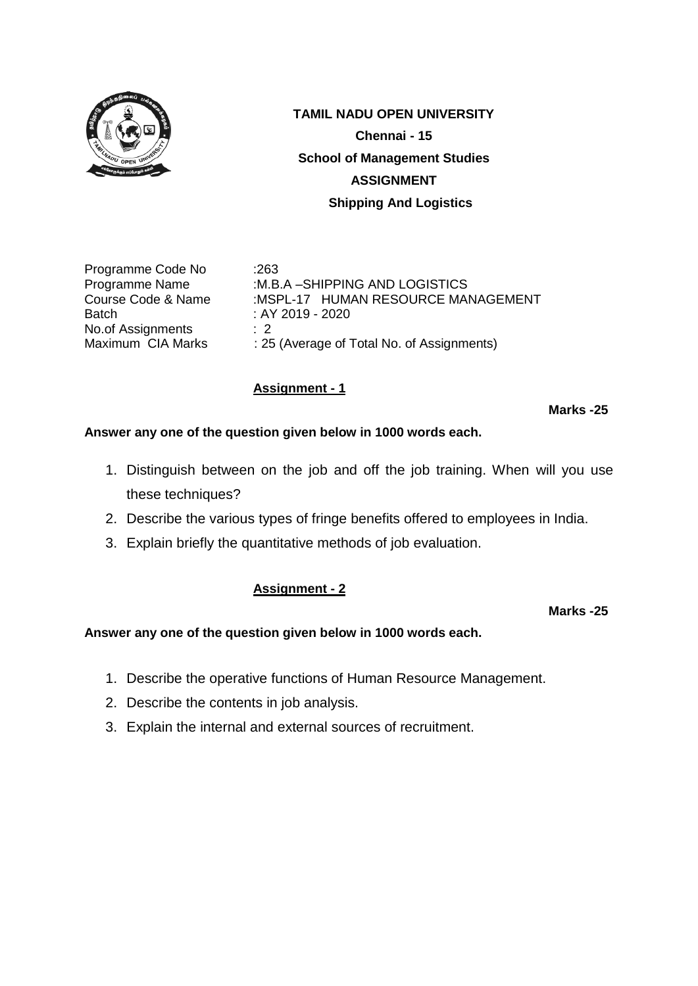

Programme Code No :263 Batch : AY 2019 - 2020 No.of Assignments : 2

Programme Name :M.B.A –SHIPPING AND LOGISTICS Course Code & Name :MSPL-17 HUMAN RESOURCE MANAGEMENT Maximum CIA Marks : 25 (Average of Total No. of Assignments)

# **Assignment - 1**

**Marks -25**

# **Answer any one of the question given below in 1000 words each.**

- 1. Distinguish between on the job and off the job training. When will you use these techniques?
- 2. Describe the various types of fringe benefits offered to employees in India.
- 3. Explain briefly the quantitative methods of job evaluation.

# **Assignment - 2**

**Marks -25**

- 1. Describe the operative functions of Human Resource Management.
- 2. Describe the contents in job analysis.
- 3. Explain the internal and external sources of recruitment.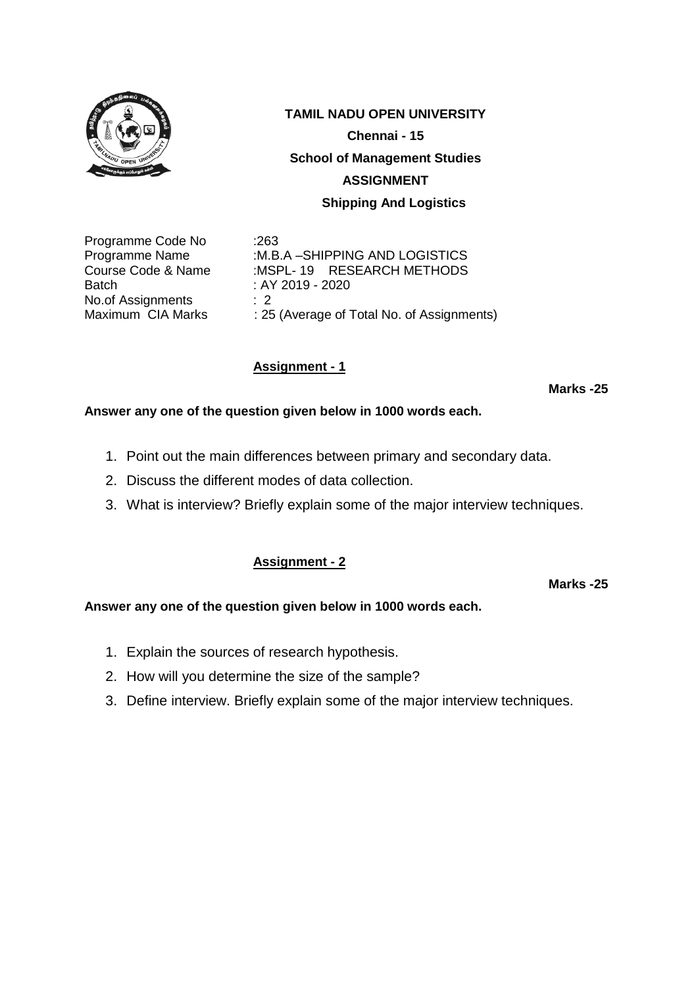

Programme Code No :263 Batch : AY 2019 - 2020 No.of Assignments : 2

Programme Name :M.B.A –SHIPPING AND LOGISTICS Course Code & Name :MSPL- 19 RESEARCH METHODS Maximum CIA Marks : 25 (Average of Total No. of Assignments)

# **Assignment - 1**

**Marks -25**

### **Answer any one of the question given below in 1000 words each.**

- 1. Point out the main differences between primary and secondary data.
- 2. Discuss the different modes of data collection.
- 3. What is interview? Briefly explain some of the major interview techniques.

### **Assignment - 2**

**Marks -25**

- 1. Explain the sources of research hypothesis.
- 2. How will you determine the size of the sample?
- 3. Define interview. Briefly explain some of the major interview techniques.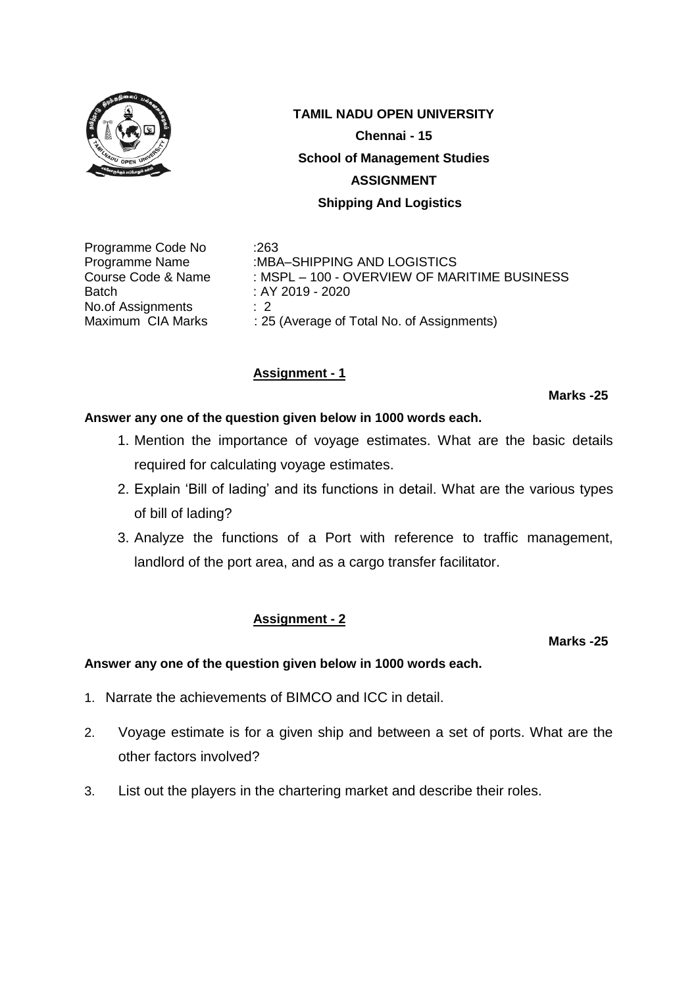

Programme Code No :263 Batch : AY 2019 - 2020 No.of Assignments : 2

Programme Name :MBA–SHIPPING AND LOGISTICS Course Code & Name : MSPL – 100 - OVERVIEW OF MARITIME BUSINESS Maximum CIA Marks : 25 (Average of Total No. of Assignments)

# **Assignment - 1**

**Marks -25**

# **Answer any one of the question given below in 1000 words each.**

- 1. Mention the importance of voyage estimates. What are the basic details required for calculating voyage estimates.
- 2. Explain 'Bill of lading' and its functions in detail. What are the various types of bill of lading?
- 3. Analyze the functions of a Port with reference to traffic management, landlord of the port area, and as a cargo transfer facilitator.

# **Assignment - 2**

### **Marks -25**

- 1. Narrate the achievements of BIMCO and ICC in detail.
- 2. Voyage estimate is for a given ship and between a set of ports. What are the other factors involved?
- 3. List out the players in the chartering market and describe their roles.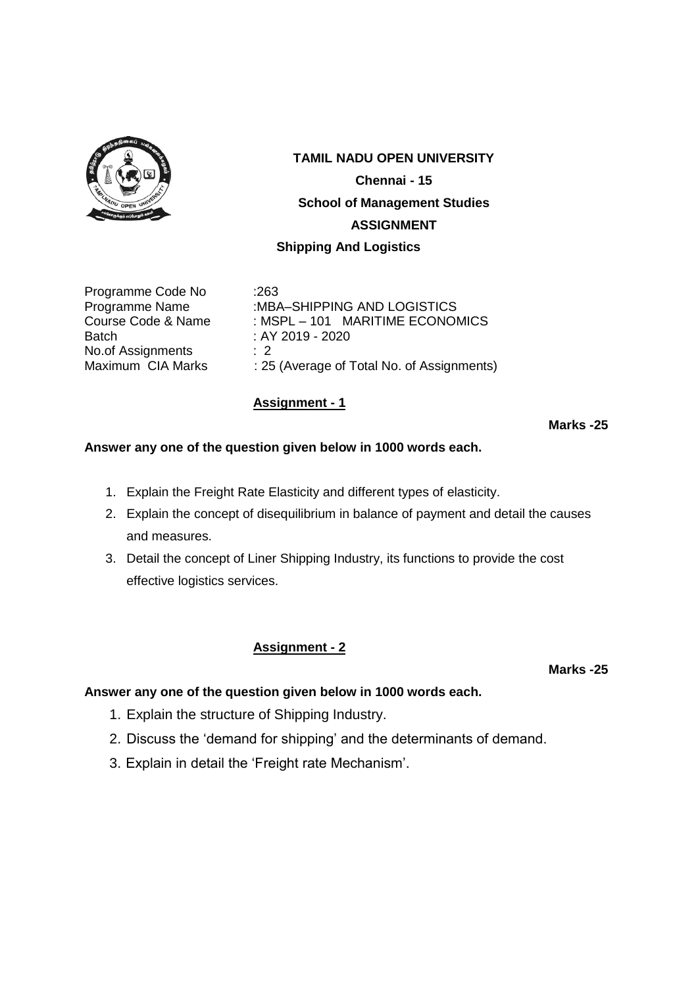

# **TAMIL NADU OPEN UNIVERSITY Chennai - 15 School of Management Studies ASSIGNMENT**

### **Shipping And Logistics**

Programme Code No :263 Batch : AY 2019 - 2020 No.of Assignments : 2

Programme Name :MBA–SHIPPING AND LOGISTICS Course Code & Name : MSPL – 101 MARITIME ECONOMICS Maximum CIA Marks : 25 (Average of Total No. of Assignments)

### **Assignment - 1**

### **Marks -25**

### **Answer any one of the question given below in 1000 words each.**

- 1. Explain the Freight Rate Elasticity and different types of elasticity.
- 2. Explain the concept of disequilibrium in balance of payment and detail the causes and measures.
- 3. Detail the concept of Liner Shipping Industry, its functions to provide the cost effective logistics services.

### **Assignment - 2**

**Marks -25**

- 1. Explain the structure of Shipping Industry.
- 2. Discuss the 'demand for shipping' and the determinants of demand.
- 3. Explain in detail the 'Freight rate Mechanism'.